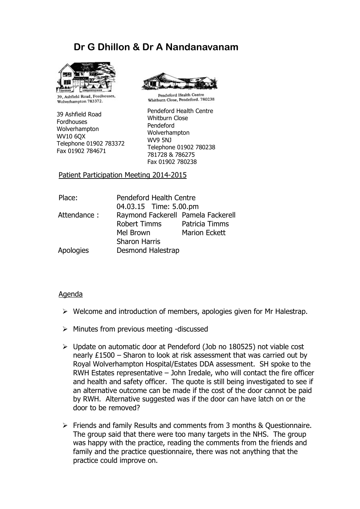# Dr G Dhillon & Dr A Nandanavanam



39, Ashfield Road, Fordhouses, Wolverhampton 783372.

39 Ashfield Road Fordhouses Wolverhampton WV10 6QX Telephone 01902 783372 Fax 01902 784671



Pendeford Health Centre Whitburn Close, Pendeford. 780238

Pendeford Health Centre Whitburn Close Pendeford Wolverhampton WV9 5NJ Telephone 01902 780238 781728 & 786275 Fax 01902 780238

Patient Participation Meeting 2014-2015

| Place:      | Pendeford Health Centre<br>04.03.15 Time: 5.00.pm |                      |
|-------------|---------------------------------------------------|----------------------|
|             |                                                   |                      |
| Attendance: | Raymond Fackerell Pamela Fackerell                |                      |
|             | <b>Robert Timms</b>                               | Patricia Timms       |
|             | Mel Brown                                         | <b>Marion Eckett</b> |
|             | <b>Sharon Harris</b>                              |                      |
| Apologies   | <b>Desmond Halestrap</b>                          |                      |

#### Agenda

- $\triangleright$  Welcome and introduction of members, apologies given for Mr Halestrap.
- $\triangleright$  Minutes from previous meeting -discussed
- Update on automatic door at Pendeford (Job no 180525) not viable cost nearly £1500 – Sharon to look at risk assessment that was carried out by Royal Wolverhampton Hospital/Estates DDA assessment. SH spoke to the RWH Estates representative – John Iredale, who will contact the fire officer and health and safety officer. The quote is still being investigated to see if an alternative outcome can be made if the cost of the door cannot be paid by RWH. Alternative suggested was if the door can have latch on or the door to be removed?
- Friends and family Results and comments from 3 months & Questionnaire. The group said that there were too many targets in the NHS. The group was happy with the practice, reading the comments from the friends and family and the practice questionnaire, there was not anything that the practice could improve on.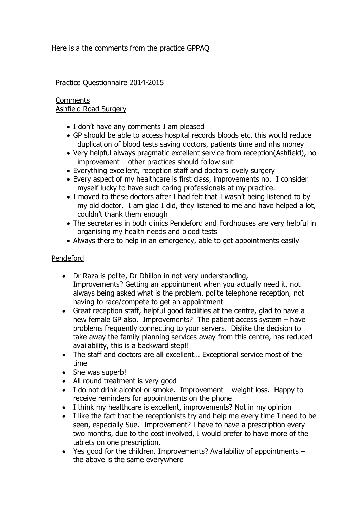Here is a the comments from the practice GPPAQ

### Practice Questionnaire 2014-2015

#### **Comments** Ashfield Road Surgery

- I don't have any comments I am pleased
- GP should be able to access hospital records bloods etc. this would reduce duplication of blood tests saving doctors, patients time and nhs money
- Very helpful always pragmatic excellent service from reception(Ashfield), no improvement – other practices should follow suit
- Everything excellent, reception staff and doctors lovely surgery
- Every aspect of my healthcare is first class, improvements no. I consider myself lucky to have such caring professionals at my practice.
- I moved to these doctors after I had felt that I wasn't being listened to by my old doctor. I am glad I did, they listened to me and have helped a lot, couldn't thank them enough
- The secretaries in both clinics Pendeford and Fordhouses are very helpful in organising my health needs and blood tests
- Always there to help in an emergency, able to get appointments easily

## Pendeford

- Dr Raza is polite, Dr Dhillon in not very understanding, Improvements? Getting an appointment when you actually need it, not always being asked what is the problem, polite telephone reception, not having to race/compete to get an appointment
- Great reception staff, helpful good facilities at the centre, glad to have a new female GP also. Improvements? The patient access system – have problems frequently connecting to your servers. Dislike the decision to take away the family planning services away from this centre, has reduced availability, this is a backward step!!
- The staff and doctors are all excellent… Exceptional service most of the time
- She was superb!
- All round treatment is very good
- I do not drink alcohol or smoke. Improvement weight loss. Happy to receive reminders for appointments on the phone
- I think my healthcare is excellent, improvements? Not in my opinion
- I like the fact that the receptionists try and help me every time I need to be seen, especially Sue. Improvement? I have to have a prescription every two months, due to the cost involved, I would prefer to have more of the tablets on one prescription.
- Yes good for the children. Improvements? Availability of appointments the above is the same everywhere